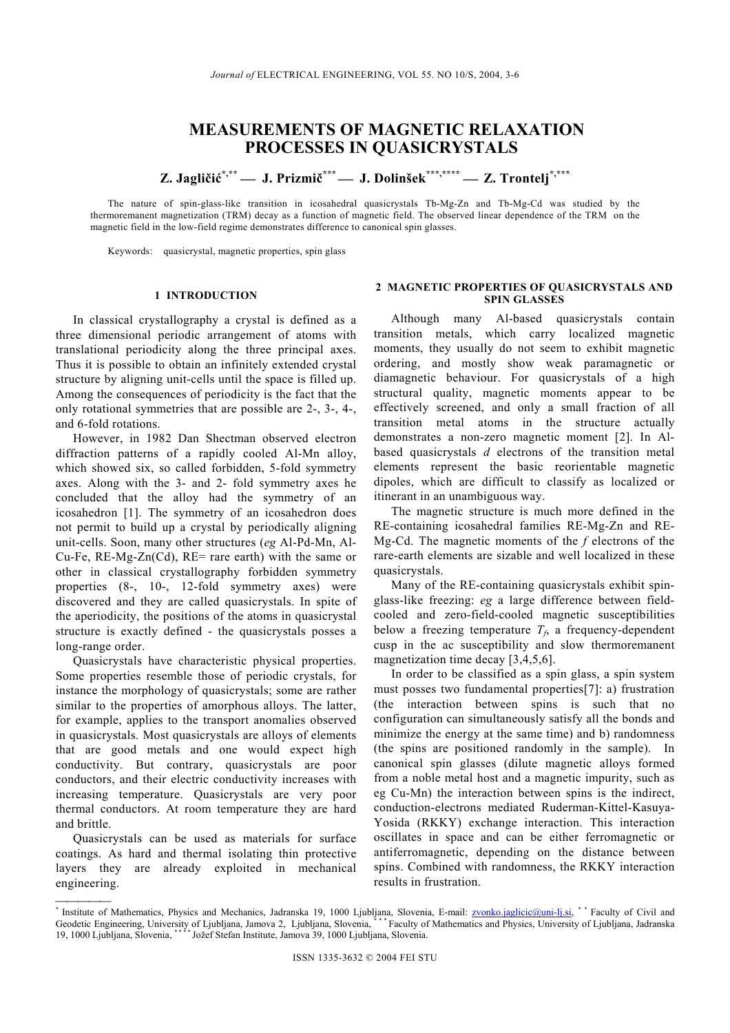# **MEASUREMENTS OF MAGNETIC RELAXATION PROCESSES IN QUASICRYSTALS**

**Z. Jagličić\*,\*\* J. Prizmič\*\*\* J. Dolinšek\*\*\*,\*\*\*\* Z. Trontelj \*,\*\*\*** 

The nature of spin-glass-like transition in icosahedral quasicrystals Tb-Mg-Zn and Tb-Mg-Cd was studied by the thermoremanent magnetization (TRM) decay as a function of magnetic field. The observed linear dependence of the TRM on the magnetic field in the low-field regime demonstrates difference to canonical spin glasses.

Keywords: quasicrystal, magnetic properties, spin glass

In classical crystallography a crystal is defined as a three dimensional periodic arrangement of atoms with translational periodicity along the three principal axes. Thus it is possible to obtain an infinitely extended crystal structure by aligning unit-cells until the space is filled up. Among the consequences of periodicity is the fact that the only rotational symmetries that are possible are 2-, 3-, 4-, and 6-fold rotations.

However, in 1982 Dan Shectman observed electron diffraction patterns of a rapidly cooled Al-Mn alloy, which showed six, so called forbidden, 5-fold symmetry axes. Along with the 3- and 2- fold symmetry axes he concluded that the alloy had the symmetry of an icosahedron [1]. The symmetry of an icosahedron does not permit to build up a crystal by periodically aligning unit-cells. Soon, many other structures (*eg* Al-Pd-Mn, Al- $Cu-Fe$ , RE-Mg-Zn(Cd), RE= rare earth) with the same or other in classical crystallography forbidden symmetry properties (8-, 10-, 12-fold symmetry axes) were discovered and they are called quasicrystals. In spite of the aperiodicity, the positions of the atoms in quasicrystal structure is exactly defined - the quasicrystals posses a long-range order.

Quasicrystals have characteristic physical properties. magnetization time decay [3,4,5,6]. Some properties resemble those of periodic crystals, for instance the morphology of quasicrystals; some are rather similar to the properties of amorphous alloys. The latter, for example, applies to the transport anomalies observed in quasicrystals. Most quasicrystals are alloys of elements that are good metals and one would expect high conductivity. But contrary, quasicrystals are poor conductors, and their electric conductivity increases with increasing temperature. Quasicrystals are very poor thermal conductors. At room temperature they are hard and brittle.

Quasicrystals can be used as materials for surface coatings. As hard and thermal isolating thin protective layers they are already exploited in mechanical engineering.

 $\overline{\phantom{a}}$ 

## **2 MAGNETIC PROPERTIES OF QUASICRYSTALS AND**  1 INTRODUCTION **SPIN GLASSES**

Although many Al-based quasicrystals contain transition metals, which carry localized magnetic moments, they usually do not seem to exhibit magnetic ordering, and mostly show weak paramagnetic or diamagnetic behaviour. For quasicrystals of a high structural quality, magnetic moments appear to be effectively screened, and only a small fraction of all transition metal atoms in the structure actually demonstrates a non-zero magnetic moment [2]. In Albased quasicrystals *d* electrons of the transition metal elements represent the basic reorientable magnetic dipoles, which are difficult to classify as localized or itinerant in an unambiguous way.

The magnetic structure is much more defined in the RE-containing icosahedral families RE-Mg-Zn and RE-Mg-Cd. The magnetic moments of the *f* electrons of the rare-earth elements are sizable and well localized in these quasicrystals.

Many of the RE-containing quasicrystals exhibit spinglass-like freezing: *eg* a large difference between fieldcooled and zero-field-cooled magnetic susceptibilities below a freezing temperature  $T_f$ , a frequency-dependent cusp in the ac susceptibility and slow thermoremanent

In order to be classified as a spin glass, a spin system must posses two fundamental properties[7]: a) frustration (the interaction between spins is such that no configuration can simultaneously satisfy all the bonds and minimize the energy at the same time) and b) randomness (the spins are positioned randomly in the sample). In canonical spin glasses (dilute magnetic alloys formed from a noble metal host and a magnetic impurity, such as eg Cu-Mn) the interaction between spins is the indirect, conduction-electrons mediated Ruderman-Kittel-Kasuya-Yosida (RKKY) exchange interaction. This interaction oscillates in space and can be either ferromagnetic or antiferromagnetic, depending on the distance between spins. Combined with randomness, the RKKY interaction results in frustration.

<sup>\*</sup> Institute of Mathematics, Physics and Mechanics, Jadranska 19, 1000 Ljubljana, Slovenia, E-mail: *zvonko.jaglicic@uni-lj.si*, \* \* Faculty of Civil and Geodetic Engineering, University of Ljubljana, Jamova 2, Ljubljana, Slovenia, \*\*\* Faculty of Mathematics and Physics, University of Ljubljana, Jadranska 19, 1000 Ljubljana, Slovenia, \* \* \* \* Jožef Stefan Institute, Jamova 39, 1000 Ljubljana, Slovenia.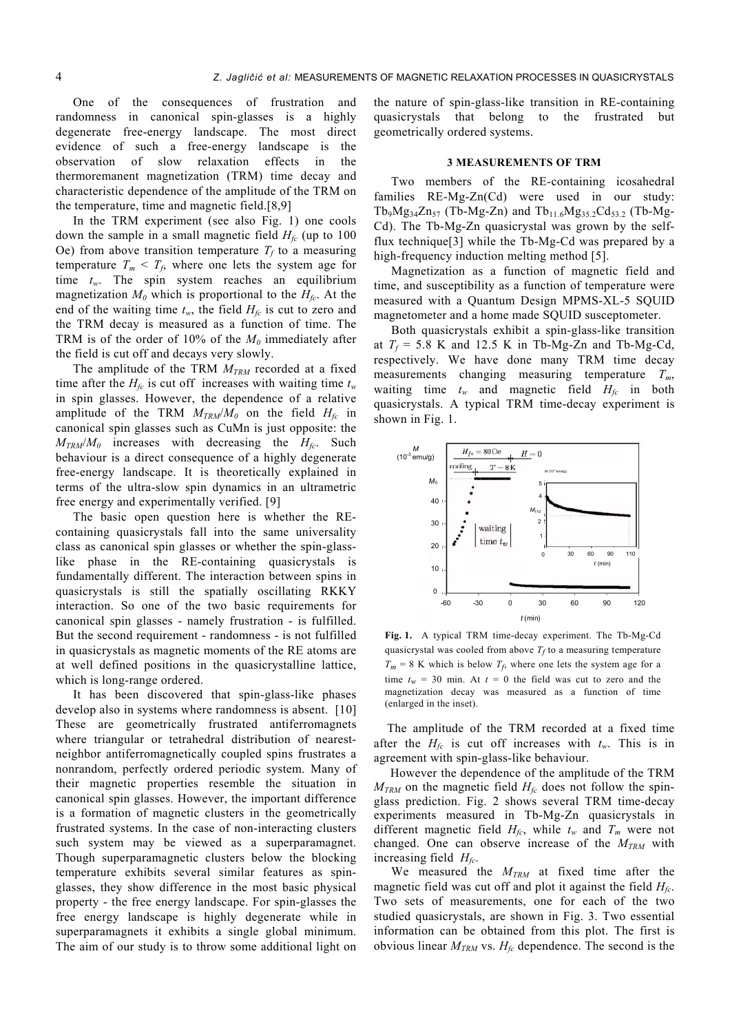One of the consequences of frustration and randomness in canonical spin-glasses is a highly degenerate free-energy landscape. The most direct evidence of such a free-energy landscape is the observation of slow relaxation effects in the thermoremanent magnetization (TRM) time decay and characteristic dependence of the amplitude of the TRM on the temperature, time and magnetic field.[8,9]

In the TRM experiment (see also Fig. 1) one cools down the sample in a small magnetic field  $H<sub>fc</sub>$  (up to 100) Oe) from above transition temperature  $T_f$  to a measuring temperature  $T_m < T_f$ , where one lets the system age for time *tw*. The spin system reaches an equilibrium magnetization  $M_0$  which is proportional to the  $H_{fc}$ . At the end of the waiting time  $t_w$ , the field  $H_{fc}$  is cut to zero and the TRM decay is measured as a function of time. The TRM is of the order of 10% of the  $M_0$  immediately after the field is cut off and decays very slowly.

The amplitude of the TRM  $M_{TRM}$  recorded at a fixed time after the  $H_f$  is cut off increases with waiting time  $t_w$ in spin glasses. However, the dependence of a relative amplitude of the TRM  $M_{TRM}/M_0$  on the field  $H_{fc}$  in canonical spin glasses such as CuMn is just opposite: the  $M_{TRM}/M_0$  increases with decreasing the  $H_{fc}$ . Such behaviour is a direct consequence of a highly degenerate free-energy landscape. It is theoretically explained in terms of the ultra-slow spin dynamics in an ultrametric free energy and experimentally verified. [9]

The basic open question here is whether the REcontaining quasicrystals fall into the same universality class as canonical spin glasses or whether the spin-glasslike phase in the RE-containing quasicrystals is fundamentally different. The interaction between spins in quasicrystals is still the spatially oscillating RKKY interaction. So one of the two basic requirements for canonical spin glasses - namely frustration - is fulfilled. But the second requirement - randomness - is not fulfilled in quasicrystals as magnetic moments of the RE atoms are at well defined positions in the quasicrystalline lattice, which is long-range ordered.

It has been discovered that spin-glass-like phases develop also in systems where randomness is absent. [10] These are geometrically frustrated antiferromagnets where triangular or tetrahedral distribution of nearestneighbor antiferromagnetically coupled spins frustrates a nonrandom, perfectly ordered periodic system. Many of their magnetic properties resemble the situation in canonical spin glasses. However, the important difference is a formation of magnetic clusters in the geometrically frustrated systems. In the case of non-interacting clusters such system may be viewed as a superparamagnet. Though superparamagnetic clusters below the blocking temperature exhibits several similar features as spinglasses, they show difference in the most basic physical property - the free energy landscape. For spin-glasses the free energy landscape is highly degenerate while in superparamagnets it exhibits a single global minimum. The aim of our study is to throw some additional light on

the nature of spin-glass-like transition in RE-containing quasicrystals that belong to the frustrated but geometrically ordered systems.

### **3 MEASUREMENTS OF TRM**

Two members of the RE-containing icosahedral families RE-Mg-Zn(Cd) were used in our study:  $Tb_9Mg_{34}Zn_{57}$  (Tb-Mg-Zn) and  $Tb_{11.6}Mg_{35.2}Cd_{53.2}$  (Tb-Mg-Cd). The Tb-Mg-Zn quasicrystal was grown by the selfflux technique[3] while the Tb-Mg-Cd was prepared by a high-frequency induction melting method [5].

Magnetization as a function of magnetic field and time, and susceptibility as a function of temperature were measured with a Quantum Design MPMS-XL-5 SQUID magnetometer and a home made SQUID susceptometer.

Both quasicrystals exhibit a spin-glass-like transition at  $T_f$  = 5.8 K and 12.5 K in Tb-Mg-Zn and Tb-Mg-Cd, respectively. We have done many TRM time decay measurements changing measuring temperature *Tm*, waiting time  $t_w$  and magnetic field  $H_f$  in both quasicrystals. A typical TRM time-decay experiment is shown in Fig. 1.



**Fig. 1.** A typical TRM time-decay experiment. The Tb-Mg-Cd quasicrystal was cooled from above  $T_f$  to a measuring temperature  $T_m = 8$  K which is below  $T_f$ , where one lets the system age for a time  $t_w = 30$  min. At  $t = 0$  the field was cut to zero and the magnetization decay was measured as a function of time (enlarged in the inset).

 The amplitude of the TRM recorded at a fixed time after the  $H_f$  is cut off increases with  $t_w$ . This is in agreement with spin-glass-like behaviour.

 However the dependence of the amplitude of the TRM  $M_{TRM}$  on the magnetic field  $H_{fc}$  does not follow the spinglass prediction. Fig. 2 shows several TRM time-decay experiments measured in Tb-Mg-Zn quasicrystals in different magnetic field  $H_{fc}$ , while  $t_w$  and  $T_m$  were not changed. One can observe increase of the  $M_{TRM}$  with increasing field *Hfc*.

We measured the  $M_{TRM}$  at fixed time after the magnetic field was cut off and plot it against the field *Hfc*. Two sets of measurements, one for each of the two studied quasicrystals, are shown in Fig. 3. Two essential information can be obtained from this plot. The first is obvious linear  $M_{TRM}$  vs.  $H_{fc}$  dependence. The second is the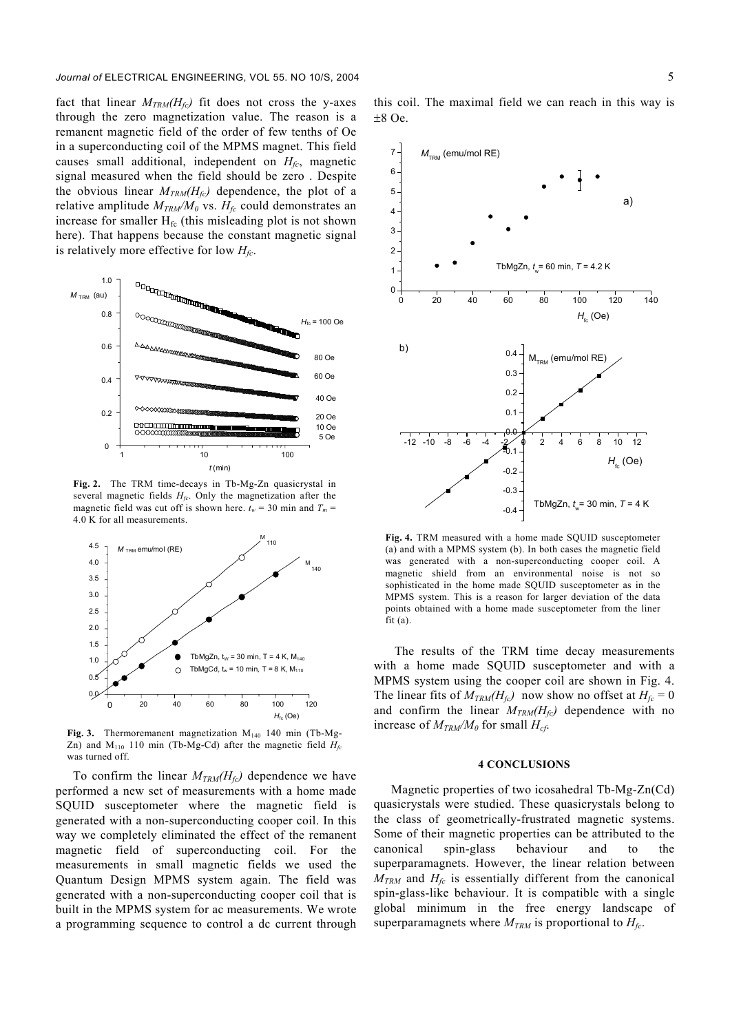fact that linear  $M_{TRM}(H_f)$  fit does not cross the y-axes through the zero magnetization value. The reason is a remanent magnetic field of the order of few tenths of Oe in a superconducting coil of the MPMS magnet. This field causes small additional, independent on  $H_{fc}$ , magnetic signal measured when the field should be zero . Despite the obvious linear  $M_{TRM}(H_{fc})$  dependence, the plot of a relative amplitude  $M_{TRM}/M_0$  vs.  $H_{fc}$  could demonstrates an increase for smaller  $H_{fc}$  (this misleading plot is not shown here). That happens because the constant magnetic signal is relatively more effective for low  $H_{fc}$ .



**Fig. 2.** The TRM time-decays in Tb-Mg-Zn quasicrystal in several magnetic fields  $H<sub>f</sub>$ . Only the magnetization after the magnetic field was cut off is shown here.  $t_w = 30$  min and  $T_m =$ 4.0 K for all measurements.



Fig. 3. Thermoremanent magnetization M<sub>140</sub> 140 min (Tb-Mg-Zn) and  $M<sub>110</sub>$  110 min (Tb-Mg-Cd) after the magnetic field  $H<sub>fc</sub>$ was turned off.

To confirm the linear  $M_{TRM}(H_{fc})$  dependence we have performed a new set of measurements with a home made SQUID susceptometer where the magnetic field is generated with a non-superconducting cooper coil. In this way we completely eliminated the effect of the remanent magnetic field of superconducting coil. For the measurements in small magnetic fields we used the Quantum Design MPMS system again. The field was generated with a non-superconducting cooper coil that is built in the MPMS system for ac measurements. We wrote a programming sequence to control a dc current through

this coil. The maximal field we can reach in this way is ±8 Oe.



**Fig. 4.** TRM measured with a home made SQUID susceptometer (a) and with a MPMS system (b). In both cases the magnetic field was generated with a non-superconducting cooper coil. A magnetic shield from an environmental noise is not so sophisticated in the home made SQUID susceptometer as in the MPMS system. This is a reason for larger deviation of the data points obtained with a home made susceptometer from the liner  $fit(a)$ .

The results of the TRM time decay measurements with a home made SQUID susceptometer and with a MPMS system using the cooper coil are shown in Fig. 4. The linear fits of  $M_{TRM}(H_{fc})$  now show no offset at  $H_{fc} = 0$ and confirm the linear  $M_{TRM}(H_{fc})$  dependence with no increase of  $M_{TRM}/M_0$  for small  $H_{cf}$ .

#### **4 CONCLUSIONS**

Magnetic properties of two icosahedral Tb-Mg-Zn(Cd) quasicrystals were studied. These quasicrystals belong to the class of geometrically-frustrated magnetic systems. Some of their magnetic properties can be attributed to the canonical spin-glass behaviour and to the superparamagnets. However, the linear relation between  $M_{TRM}$  and  $H_{fc}$  is essentially different from the canonical spin-glass-like behaviour. It is compatible with a single global minimum in the free energy landscape of superparamagnets where  $M_{TRM}$  is proportional to  $H_{fc}$ .